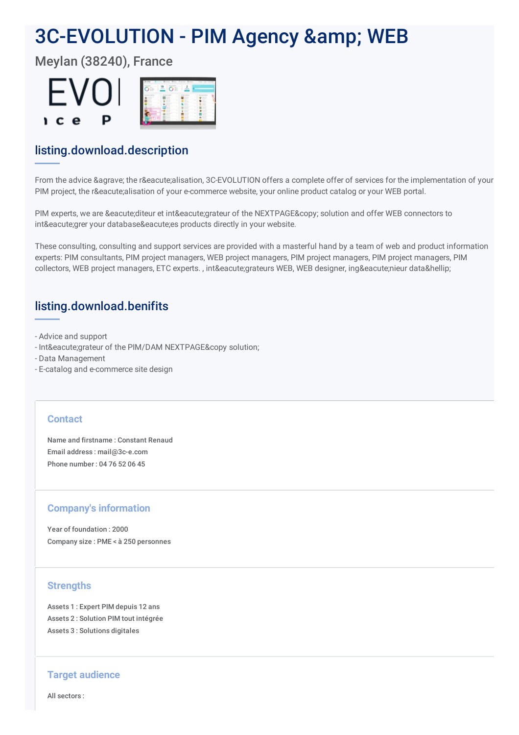# 3C-EVOLUTION - PIM Agency & amp; WEB

Meylan (38240), France



# listing.download.description

From the advice & agrave; the réalisation, 3C-EVOLUTION offers a complete offer of services for the implementation of your PIM project, the réalisation of your e-commerce website, your online product catalog or your WEB portal.

PIM experts, we are éditeur et intégrateur of the NEXTPAGE© solution and offer WEB connectors to intégrer your databaseées products directly in your website.

These consulting, consulting and support services are provided with a masterful hand by a team of web and product information experts: PIM consultants, PIM project managers, WEB project managers, PIM project managers, PIM project managers, PIM collectors, WEB project managers, ETC experts., intégrateurs WEB, WEB designer, ingénieur data…

## listing.download.benifits

- Advice and support
- Intégrateur of the PIM/DAM NEXTPAGE& copy solution;
- Data Management
- E-catalog and e-commerce site design

#### **Contact**

Name and firstname : Constant Renaud Email address : mail@3c-e.com Phone number : 04 76 52 06 45

## **Company's information**

Year of foundation : 2000 Company size : PME < à 250 personnes

## **Strengths**

Assets 1 : Expert PIM depuis 12 ans Assets 2 : Solution PIM tout intégrée Assets 3 : Solutions digitales

#### **Target audience**

All sectors :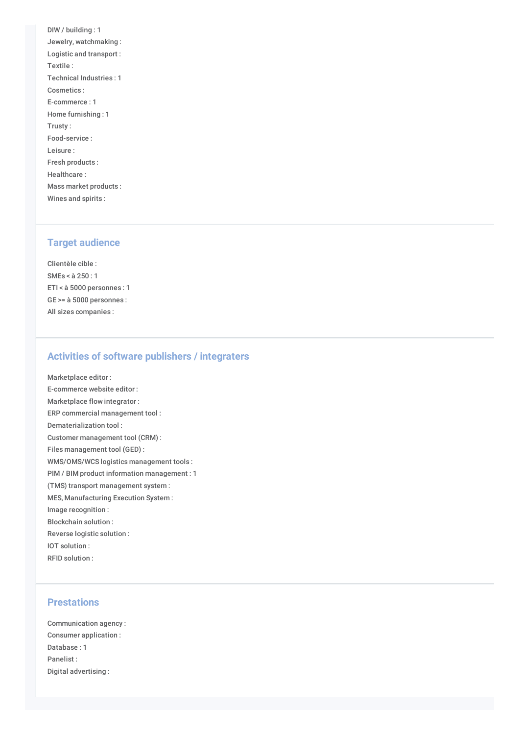DIW / building : 1 Jewelry, watchmaking : Logistic and transport : Textile : Technical Industries : 1 Cosmetics : E-commerce : 1 Home furnishing : 1 Trusty : Food-service : Leisure : Fresh products : Healthcare : Mass market products : Wines and spirits :

#### **Target audience**

Clientèle cible : SMEs < à 250 : 1 ETI < à 5000 personnes : 1 GE >= à 5000 personnes : All sizes companies :

#### **Activities of software publishers / integraters**

Marketplace editor : E-commerce website editor : Marketplace flow integrator : ERP commercial management tool : Dematerialization tool : Customer management tool (CRM) : Files management tool (GED) : WMS/OMS/WCS logistics management tools : PIM / BIM product information management : 1 (TMS) transport management system : MES, Manufacturing Execution System : Image recognition : Blockchain solution : Reverse logistic solution : IOT solution : RFID solution :

#### **Prestations**

Communication agency : Consumer application : Database : 1 Panelist : Digital advertising :